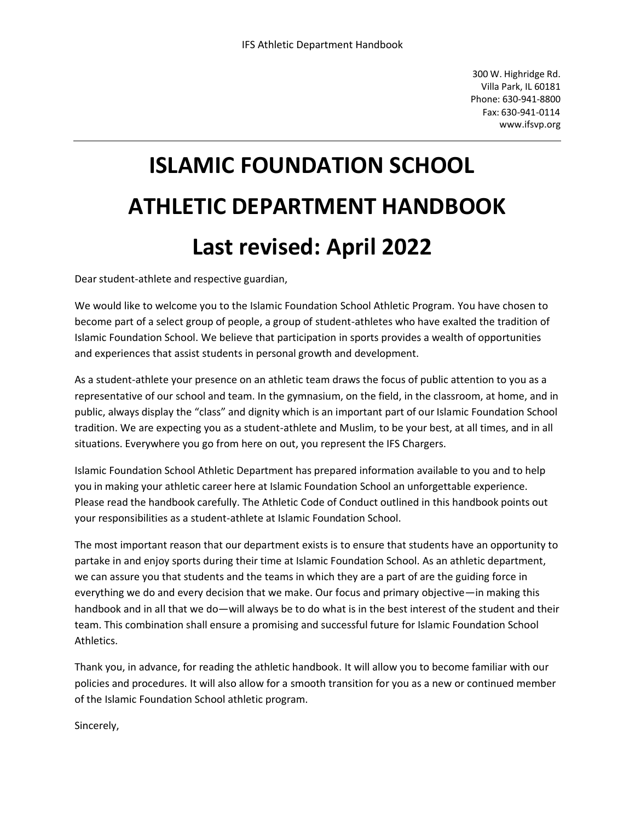300 W. Highridge Rd. Villa Park, IL 60181 Phone: 630-941-8800 Fax: 630-941-0114 [www.ifsvp.org](http://www.ifsvp.org/)

# **ISLAMIC FOUNDATION SCHOOL ATHLETIC DEPARTMENT HANDBOOK Last revised: April 2022**

Dear student-athlete and respective guardian,

We would like to welcome you to the Islamic Foundation School Athletic Program. You have chosen to become part of a select group of people, a group of student-athletes who have exalted the tradition of Islamic Foundation School. We believe that participation in sports provides a wealth of opportunities and experiences that assist students in personal growth and development.

As a student-athlete your presence on an athletic team draws the focus of public attention to you as a representative of our school and team. In the gymnasium, on the field, in the classroom, at home, and in public, always display the "class" and dignity which is an important part of our Islamic Foundation School tradition. We are expecting you as a student-athlete and Muslim, to be your best, at all times, and in all situations. Everywhere you go from here on out, you represent the IFS Chargers.

Islamic Foundation School Athletic Department has prepared information available to you and to help you in making your athletic career here at Islamic Foundation School an unforgettable experience. Please read the handbook carefully. The Athletic Code of Conduct outlined in this handbook points out your responsibilities as a student-athlete at Islamic Foundation School.

The most important reason that our department exists is to ensure that students have an opportunity to partake in and enjoy sports during their time at Islamic Foundation School. As an athletic department, we can assure you that students and the teams in which they are a part of are the guiding force in everything we do and every decision that we make. Our focus and primary objective—in making this handbook and in all that we do—will always be to do what is in the best interest of the student and their team. This combination shall ensure a promising and successful future for Islamic Foundation School Athletics.

Thank you, in advance, for reading the athletic handbook. It will allow you to become familiar with our policies and procedures. It will also allow for a smooth transition for you as a new or continued member of the Islamic Foundation School athletic program.

Sincerely,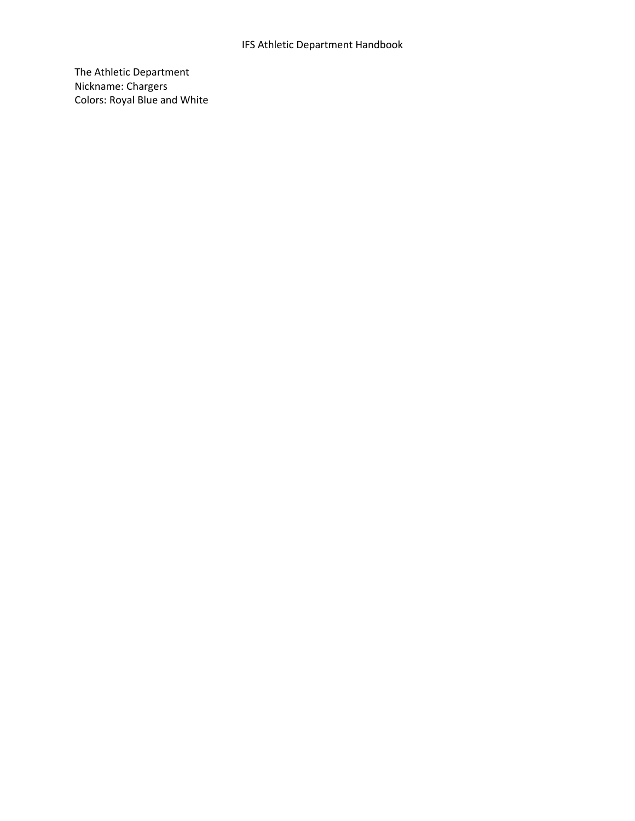## IFS Athletic Department Handbook

The Athletic Department Nickname: Chargers Colors: Royal Blue and White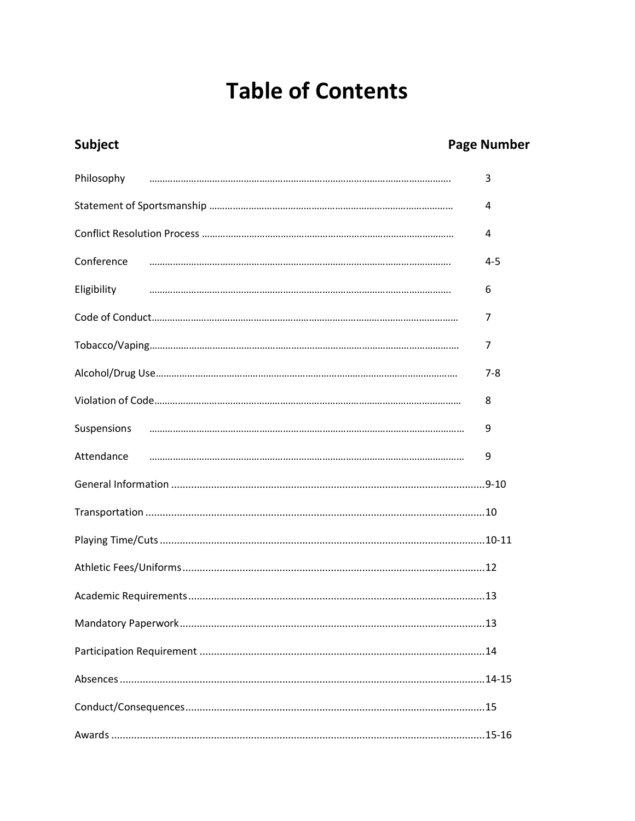# **Table of Contents**

# Subject

# **Page Number**

|             | 3       |
|-------------|---------|
|             | 4       |
|             | 4       |
| Conference  | $4 - 5$ |
| Eligibility | 6       |
|             | 7       |
|             | 7       |
|             | $7 - 8$ |
|             | 8       |
|             | 9       |
| Attendance  | 9       |
|             |         |
|             |         |
|             |         |
|             |         |
|             |         |
|             |         |
|             |         |
|             |         |
|             |         |
|             |         |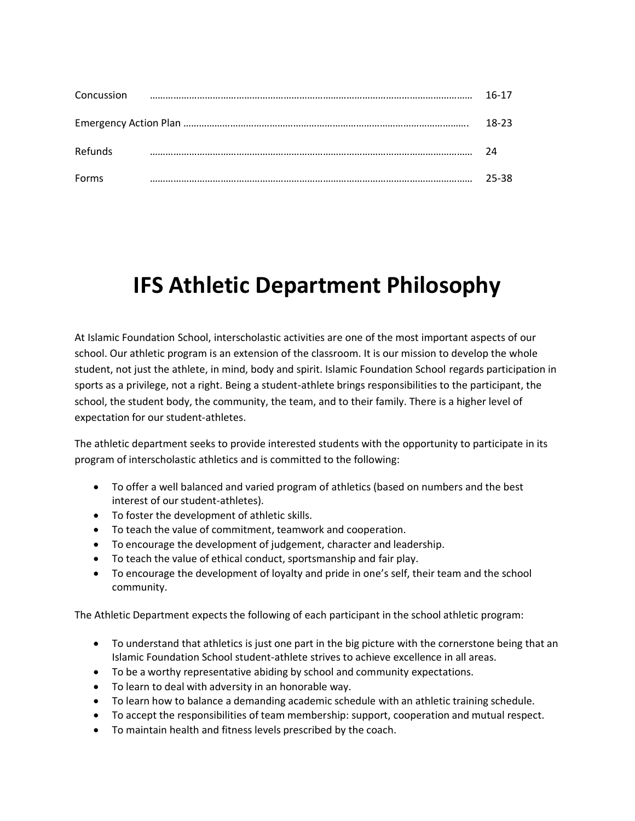| Concussion | $16-17$ |
|------------|---------|
|            | 18-23   |
| Refunds    | 7Δ      |
| Forms      | 25-38.  |

# **IFS Athletic Department Philosophy**

At Islamic Foundation School, interscholastic activities are one of the most important aspects of our school. Our athletic program is an extension of the classroom. It is our mission to develop the whole student, not just the athlete, in mind, body and spirit. Islamic Foundation School regards participation in sports as a privilege, not a right. Being a student-athlete brings responsibilities to the participant, the school, the student body, the community, the team, and to their family. There is a higher level of expectation for our student-athletes.

The athletic department seeks to provide interested students with the opportunity to participate in its program of interscholastic athletics and is committed to the following:

- To offer a well balanced and varied program of athletics (based on numbers and the best interest of our student-athletes).
- To foster the development of athletic skills.
- To teach the value of commitment, teamwork and cooperation.
- To encourage the development of judgement, character and leadership.
- To teach the value of ethical conduct, sportsmanship and fair play.
- To encourage the development of loyalty and pride in one's self, their team and the school community.

The Athletic Department expects the following of each participant in the school athletic program:

- To understand that athletics is just one part in the big picture with the cornerstone being that an Islamic Foundation School student-athlete strives to achieve excellence in all areas.
- To be a worthy representative abiding by school and community expectations.
- To learn to deal with adversity in an honorable way.
- To learn how to balance a demanding academic schedule with an athletic training schedule.
- To accept the responsibilities of team membership: support, cooperation and mutual respect.
- To maintain health and fitness levels prescribed by the coach.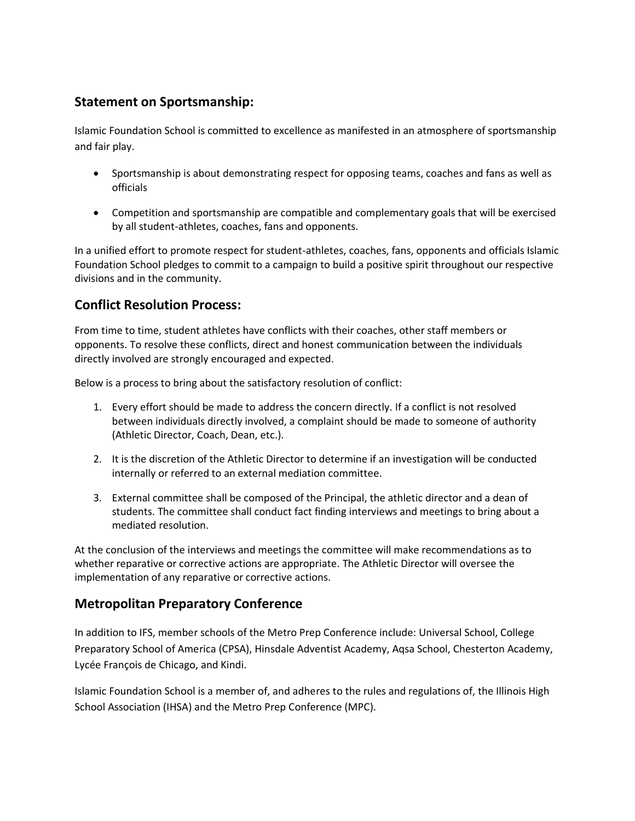# **Statement on Sportsmanship:**

Islamic Foundation School is committed to excellence as manifested in an atmosphere of sportsmanship and fair play.

- Sportsmanship is about demonstrating respect for opposing teams, coaches and fans as well as officials
- Competition and sportsmanship are compatible and complementary goals that will be exercised by all student-athletes, coaches, fans and opponents.

In a unified effort to promote respect for student-athletes, coaches, fans, opponents and officials Islamic Foundation School pledges to commit to a campaign to build a positive spirit throughout our respective divisions and in the community.

# <span id="page-4-0"></span>**Conflict Resolution Process:**

From time to time, student athletes have conflicts with their coaches, other staff members or opponents. To resolve these conflicts, direct and honest communication between the individuals directly involved are strongly encouraged and expected.

Below is a process to bring about the satisfactory resolution of conflict:

- 1. Every effort should be made to address the concern directly. If a conflict is not resolved between individuals directly involved, a complaint should be made to someone of authority (Athletic Director, Coach, Dean, etc.).
- 2. It is the discretion of the Athletic Director to determine if an investigation will be conducted internally or referred to an external mediation committee.
- 3. External committee shall be composed of the Principal, the athletic director and a dean of students. The committee shall conduct fact finding interviews and meetings to bring about a mediated resolution.

At the conclusion of the interviews and meetings the committee will make recommendations as to whether reparative or corrective actions are appropriate. The Athletic Director will oversee the implementation of any reparative or corrective actions.

# **Metropolitan Preparatory Conference**

In addition to IFS, member schools of the Metro Prep Conference include: Universal School, College Preparatory School of America (CPSA), Hinsdale Adventist Academy, Aqsa School, Chesterton Academy, Lycée François de Chicago, and Kindi.

Islamic Foundation School is a member of, and adheres to the rules and regulations of, the Illinois High School Association (IHSA) and the Metro Prep Conference (MPC).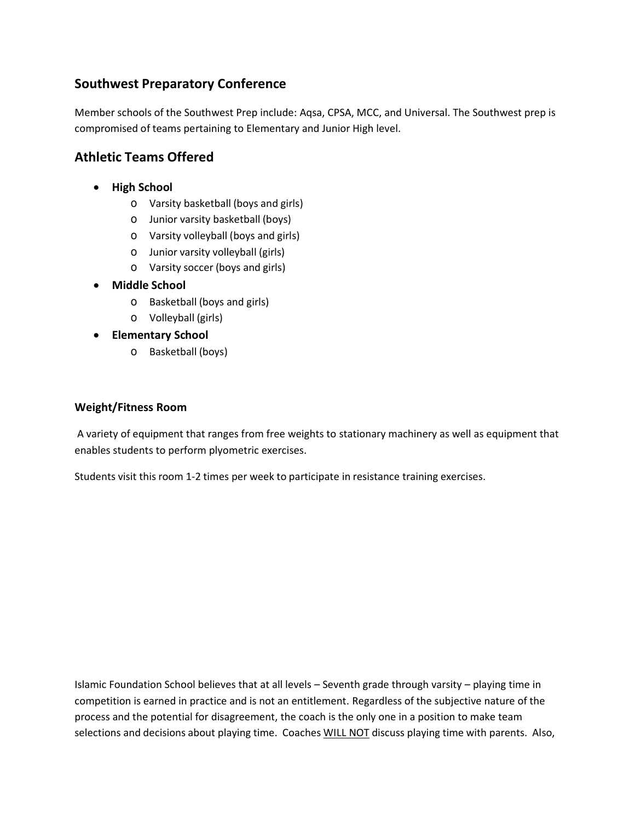# **Southwest Preparatory Conference**

Member schools of the Southwest Prep include: Aqsa, CPSA, MCC, and Universal. The Southwest prep is compromised of teams pertaining to Elementary and Junior High level.

# **Athletic Teams Offered**

- **High School**
	- o Varsity basketball (boys and girls)
	- o Junior varsity basketball (boys)
	- o Varsity volleyball (boys and girls)
	- o Junior varsity volleyball (girls)
	- o Varsity soccer (boys and girls)
- **Middle School**
	- o Basketball (boys and girls)
	- o Volleyball (girls)
- **Elementary School**
	- o Basketball (boys)

#### **Weight/Fitness Room**

A variety of equipment that ranges from free weights to stationary machinery as well as equipment that enables students to perform plyometric exercises.

Students visit this room 1-2 times per week to participate in resistance training exercises.

Islamic Foundation School believes that at all levels – Seventh grade through varsity – playing time in competition is earned in practice and is not an entitlement. Regardless of the subjective nature of the process and the potential for disagreement, the coach is the only one in a position to make team selections and decisions about playing time. Coaches WILL NOT discuss playing time with parents. Also,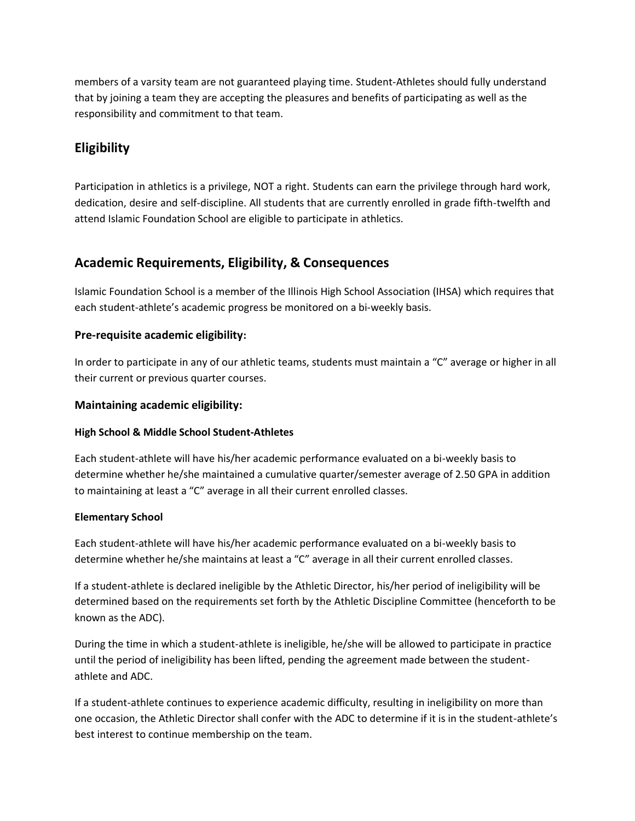members of a varsity team are not guaranteed playing time. Student-Athletes should fully understand that by joining a team they are accepting the pleasures and benefits of participating as well as the responsibility and commitment to that team.

# <span id="page-6-0"></span>**Eligibility**

Participation in athletics is a privilege, NOT a right. Students can earn the privilege through hard work, dedication, desire and self-discipline. All students that are currently enrolled in grade fifth-twelfth and attend Islamic Foundation School are eligible to participate in athletics.

# **Academic Requirements, Eligibility, & Consequences**

Islamic Foundation School is a member of the Illinois High School Association (IHSA) which requires that each student-athlete's academic progress be monitored on a bi-weekly basis.

#### **Pre-requisite academic eligibility:**

In order to participate in any of our athletic teams, students must maintain a "C" average or higher in all their current or previous quarter courses.

#### **Maintaining academic eligibility:**

#### **High School & Middle School Student-Athletes**

Each student-athlete will have his/her academic performance evaluated on a bi-weekly basis to determine whether he/she maintained a cumulative quarter/semester average of 2.50 GPA in addition to maintaining at least a "C" average in all their current enrolled classes.

#### **Elementary School**

Each student-athlete will have his/her academic performance evaluated on a bi-weekly basis to determine whether he/she maintains at least a "C" average in all their current enrolled classes.

If a student-athlete is declared ineligible by the Athletic Director, his/her period of ineligibility will be determined based on the requirements set forth by the Athletic Discipline Committee (henceforth to be known as the ADC).

During the time in which a student-athlete is ineligible, he/she will be allowed to participate in practice until the period of ineligibility has been lifted, pending the agreement made between the studentathlete and ADC.

If a student-athlete continues to experience academic difficulty, resulting in ineligibility on more than one occasion, the Athletic Director shall confer with the ADC to determine if it is in the student-athlete's best interest to continue membership on the team.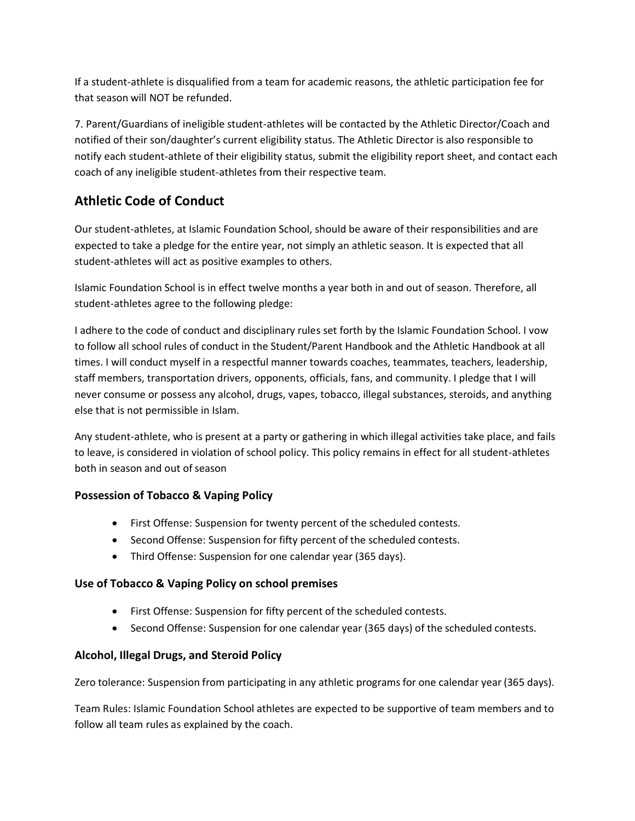If a student-athlete is disqualified from a team for academic reasons, the athletic participation fee for that season will NOT be refunded.

7. Parent/Guardians of ineligible student-athletes will be contacted by the Athletic Director/Coach and notified of their son/daughter's current eligibility status. The Athletic Director is also responsible to notify each student-athlete of their eligibility status, submit the eligibility report sheet, and contact each coach of any ineligible student-athletes from their respective team.

# **Athletic Code of Conduct**

Our student-athletes, at Islamic Foundation School, should be aware of their responsibilities and are expected to take a pledge for the entire year, not simply an athletic season. It is expected that all student-athletes will act as positive examples to others.

Islamic Foundation School is in effect twelve months a year both in and out of season. Therefore, all student-athletes agree to the following pledge:

I adhere to the code of conduct and disciplinary rules set forth by the Islamic Foundation School. I vow to follow all school rules of conduct in the Student/Parent Handbook and the Athletic Handbook at all times. I will conduct myself in a respectful manner towards coaches, teammates, teachers, leadership, staff members, transportation drivers, opponents, officials, fans, and community. I pledge that I will never consume or possess any alcohol, drugs, vapes, tobacco, illegal substances, steroids, and anything else that is not permissible in Islam.

Any student-athlete, who is present at a party or gathering in which illegal activities take place, and fails to leave, is considered in violation of school policy. This policy remains in effect for all student-athletes both in season and out of season

## **Possession of Tobacco & Vaping Policy**

- First Offense: Suspension for twenty percent of the scheduled contests.
- Second Offense: Suspension for fifty percent of the scheduled contests.
- Third Offense: Suspension for one calendar year (365 days).

## **Use of Tobacco & Vaping Policy on school premises**

- First Offense: Suspension for fifty percent of the scheduled contests.
- Second Offense: Suspension for one calendar year (365 days) of the scheduled contests.

# **Alcohol, Illegal Drugs, and Steroid Policy**

Zero tolerance: Suspension from participating in any athletic programs for one calendar year (365 days).

Team Rules: Islamic Foundation School athletes are expected to be supportive of team members and to follow all team rules as explained by the coach.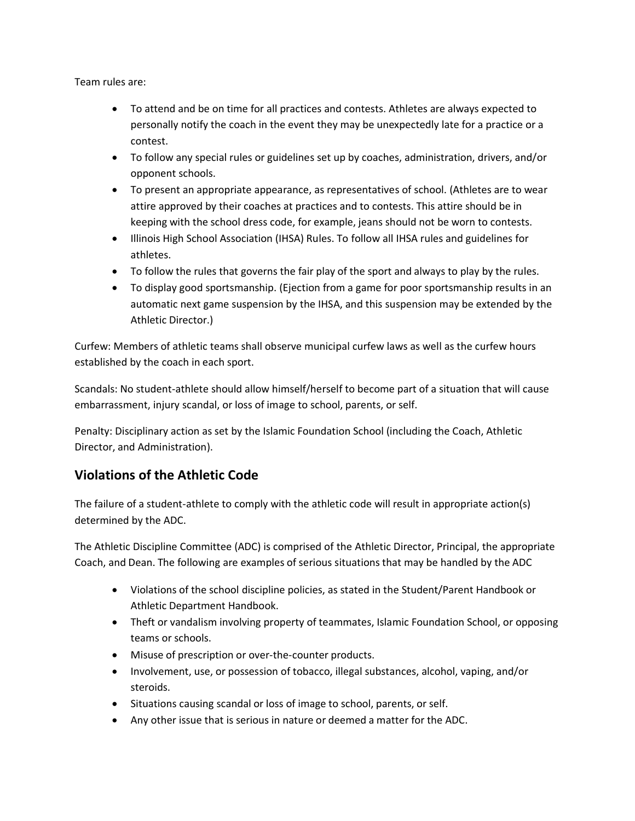Team rules are:

- To attend and be on time for all practices and contests. Athletes are always expected to personally notify the coach in the event they may be unexpectedly late for a practice or a contest.
- To follow any special rules or guidelines set up by coaches, administration, drivers, and/or opponent schools.
- To present an appropriate appearance, as representatives of school. (Athletes are to wear attire approved by their coaches at practices and to contests. This attire should be in keeping with the school dress code, for example, jeans should not be worn to contests.
- Illinois High School Association (IHSA) Rules. To follow all IHSA rules and guidelines for athletes.
- To follow the rules that governs the fair play of the sport and always to play by the rules.
- To display good sportsmanship. (Ejection from a game for poor sportsmanship results in an automatic next game suspension by the IHSA, and this suspension may be extended by the Athletic Director.)

Curfew: Members of athletic teams shall observe municipal curfew laws as well as the curfew hours established by the coach in each sport.

Scandals: No student-athlete should allow himself/herself to become part of a situation that will cause embarrassment, injury scandal, or loss of image to school, parents, or self.

Penalty: Disciplinary action as set by the Islamic Foundation School (including the Coach, Athletic Director, and Administration).

# **Violations of the Athletic Code**

The failure of a student-athlete to comply with the athletic code will result in appropriate action(s) determined by the ADC.

The Athletic Discipline Committee (ADC) is comprised of the Athletic Director, Principal, the appropriate Coach, and Dean. The following are examples of serious situations that may be handled by the ADC

- Violations of the school discipline policies, as stated in the Student/Parent Handbook or Athletic Department Handbook.
- Theft or vandalism involving property of teammates, Islamic Foundation School, or opposing teams or schools.
- Misuse of prescription or over-the-counter products.
- Involvement, use, or possession of tobacco, illegal substances, alcohol, vaping, and/or steroids.
- Situations causing scandal or loss of image to school, parents, or self.
- Any other issue that is serious in nature or deemed a matter for the ADC.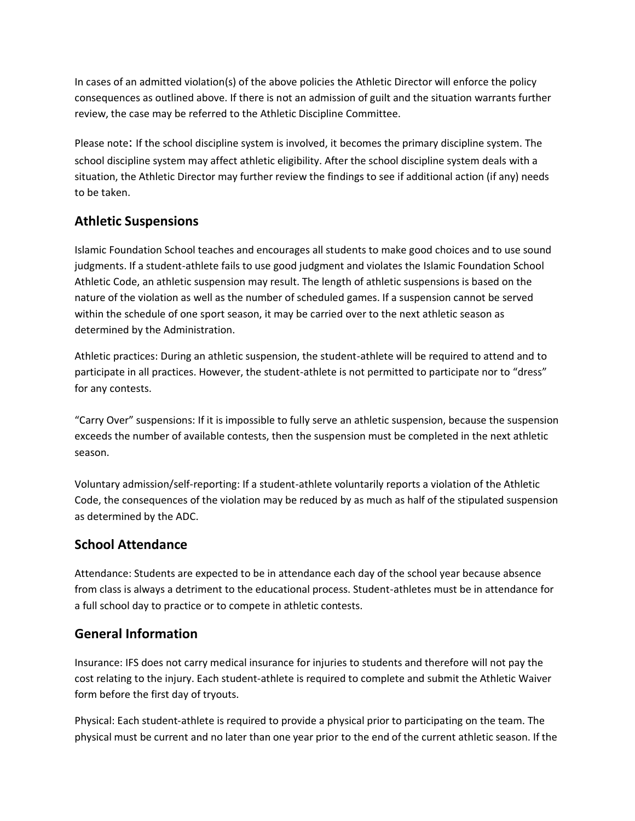In cases of an admitted violation(s) of the above policies the Athletic Director will enforce the policy consequences as outlined above. If there is not an admission of guilt and the situation warrants further review, the case may be referred to the Athletic Discipline Committee.

Please note: If the school discipline system is involved, it becomes the primary discipline system. The school discipline system may affect athletic eligibility. After the school discipline system deals with a situation, the Athletic Director may further review the findings to see if additional action (if any) needs to be taken.

# **Athletic Suspensions**

Islamic Foundation School teaches and encourages all students to make good choices and to use sound judgments. If a student-athlete fails to use good judgment and violates the Islamic Foundation School Athletic Code, an athletic suspension may result. The length of athletic suspensions is based on the nature of the violation as well as the number of scheduled games. If a suspension cannot be served within the schedule of one sport season, it may be carried over to the next athletic season as determined by the Administration.

Athletic practices: During an athletic suspension, the student-athlete will be required to attend and to participate in all practices. However, the student-athlete is not permitted to participate nor to "dress" for any contests.

"Carry Over" suspensions: If it is impossible to fully serve an athletic suspension, because the suspension exceeds the number of available contests, then the suspension must be completed in the next athletic season.

Voluntary admission/self-reporting: If a student-athlete voluntarily reports a violation of the Athletic Code, the consequences of the violation may be reduced by as much as half of the stipulated suspension as determined by the ADC.

# **School Attendance**

Attendance: Students are expected to be in attendance each day of the school year because absence from class is always a detriment to the educational process. Student-athletes must be in attendance for a full school day to practice or to compete in athletic contests.

# <span id="page-9-0"></span>**General Information**

Insurance: IFS does not carry medical insurance for injuries to students and therefore will not pay the cost relating to the injury. Each student-athlete is required to complete and submit the Athletic Waiver form before the first day of tryouts.

Physical: Each student-athlete is required to provide a physical prior to participating on the team. The physical must be current and no later than one year prior to the end of the current athletic season. If the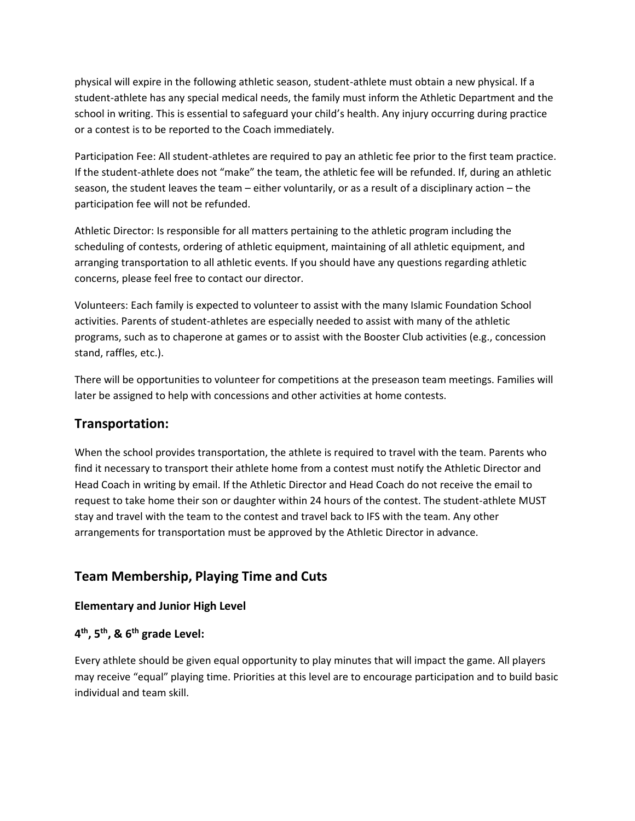physical will expire in the following athletic season, student-athlete must obtain a new physical. If a student-athlete has any special medical needs, the family must inform the Athletic Department and the school in writing. This is essential to safeguard your child's health. Any injury occurring during practice or a contest is to be reported to the Coach immediately.

Participation Fee: All student-athletes are required to pay an athletic fee prior to the first team practice. If the student-athlete does not "make" the team, the athletic fee will be refunded. If, during an athletic season, the student leaves the team – either voluntarily, or as a result of a disciplinary action – the participation fee will not be refunded.

Athletic Director: Is responsible for all matters pertaining to the athletic program including the scheduling of contests, ordering of athletic equipment, maintaining of all athletic equipment, and arranging transportation to all athletic events. If you should have any questions regarding athletic concerns, please feel free to contact our director.

Volunteers: Each family is expected to volunteer to assist with the many Islamic Foundation School activities. Parents of student-athletes are especially needed to assist with many of the athletic programs, such as to chaperone at games or to assist with the Booster Club activities (e.g., concession stand, raffles, etc.).

There will be opportunities to volunteer for competitions at the preseason team meetings. Families will later be assigned to help with concessions and other activities at home contests.

## <span id="page-10-0"></span>**Transportation:**

When the school provides transportation, the athlete is required to travel with the team. Parents who find it necessary to transport their athlete home from a contest must notify the Athletic Director and Head Coach in writing by email. If the Athletic Director and Head Coach do not receive the email to request to take home their son or daughter within 24 hours of the contest. The student-athlete MUST stay and travel with the team to the contest and travel back to IFS with the team. Any other arrangements for transportation must be approved by the Athletic Director in advance.

# **Team Membership, Playing Time and Cuts**

#### **Elementary and Junior High Level**

## **4 th, 5th, & 6th grade Level:**

Every athlete should be given equal opportunity to play minutes that will impact the game. All players may receive "equal" playing time. Priorities at this level are to encourage participation and to build basic individual and team skill.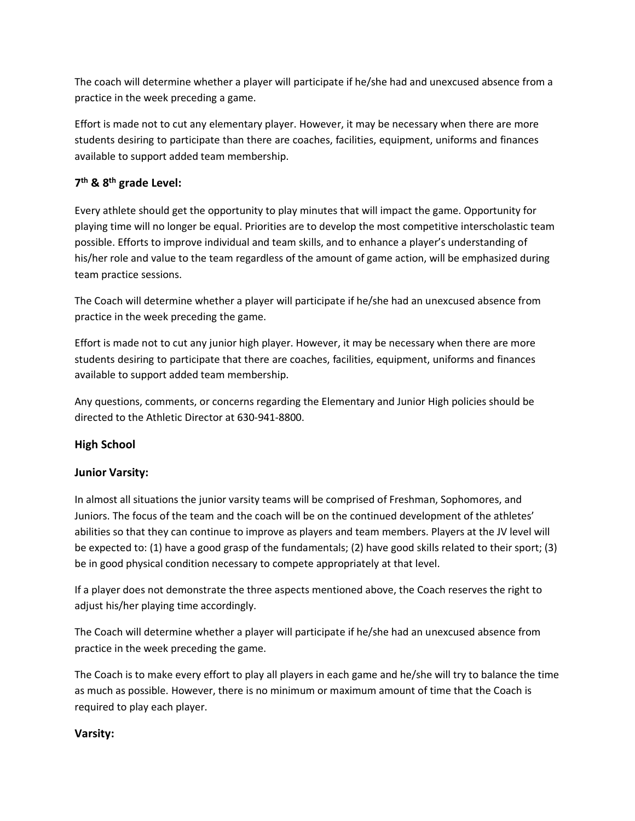The coach will determine whether a player will participate if he/she had and unexcused absence from a practice in the week preceding a game.

Effort is made not to cut any elementary player. However, it may be necessary when there are more students desiring to participate than there are coaches, facilities, equipment, uniforms and finances available to support added team membership.

# **7 th & 8 th grade Level:**

Every athlete should get the opportunity to play minutes that will impact the game. Opportunity for playing time will no longer be equal. Priorities are to develop the most competitive interscholastic team possible. Efforts to improve individual and team skills, and to enhance a player's understanding of his/her role and value to the team regardless of the amount of game action, will be emphasized during team practice sessions.

The Coach will determine whether a player will participate if he/she had an unexcused absence from practice in the week preceding the game.

Effort is made not to cut any junior high player. However, it may be necessary when there are more students desiring to participate that there are coaches, facilities, equipment, uniforms and finances available to support added team membership.

Any questions, comments, or concerns regarding the Elementary and Junior High policies should be directed to the Athletic Director at 630-941-8800.

## **High School**

## **Junior Varsity:**

In almost all situations the junior varsity teams will be comprised of Freshman, Sophomores, and Juniors. The focus of the team and the coach will be on the continued development of the athletes' abilities so that they can continue to improve as players and team members. Players at the JV level will be expected to: (1) have a good grasp of the fundamentals; (2) have good skills related to their sport; (3) be in good physical condition necessary to compete appropriately at that level.

If a player does not demonstrate the three aspects mentioned above, the Coach reserves the right to adjust his/her playing time accordingly.

The Coach will determine whether a player will participate if he/she had an unexcused absence from practice in the week preceding the game.

The Coach is to make every effort to play all players in each game and he/she will try to balance the time as much as possible. However, there is no minimum or maximum amount of time that the Coach is required to play each player.

#### **Varsity:**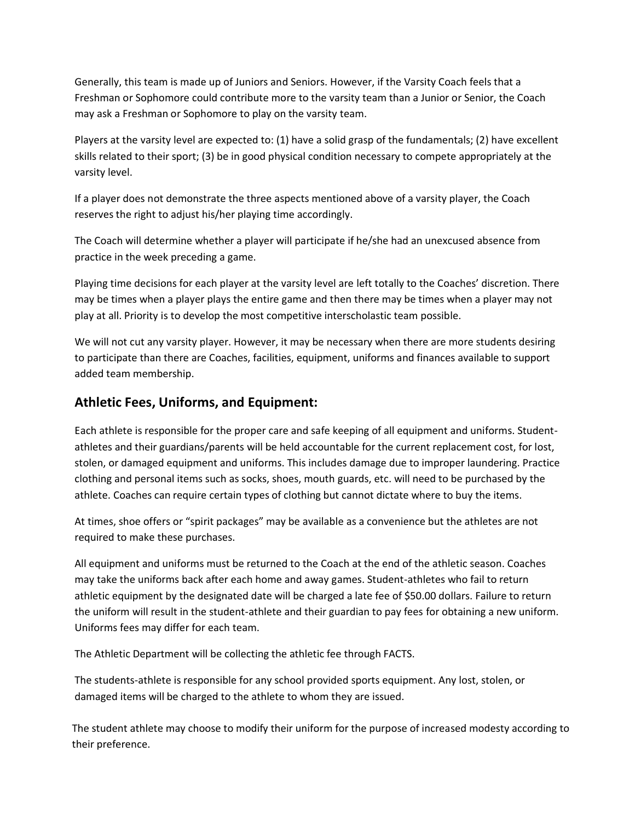Generally, this team is made up of Juniors and Seniors. However, if the Varsity Coach feels that a Freshman or Sophomore could contribute more to the varsity team than a Junior or Senior, the Coach may ask a Freshman or Sophomore to play on the varsity team.

Players at the varsity level are expected to: (1) have a solid grasp of the fundamentals; (2) have excellent skills related to their sport; (3) be in good physical condition necessary to compete appropriately at the varsity level.

If a player does not demonstrate the three aspects mentioned above of a varsity player, the Coach reserves the right to adjust his/her playing time accordingly.

The Coach will determine whether a player will participate if he/she had an unexcused absence from practice in the week preceding a game.

Playing time decisions for each player at the varsity level are left totally to the Coaches' discretion. There may be times when a player plays the entire game and then there may be times when a player may not play at all. Priority is to develop the most competitive interscholastic team possible.

We will not cut any varsity player. However, it may be necessary when there are more students desiring to participate than there are Coaches, facilities, equipment, uniforms and finances available to support added team membership.

# **Athletic Fees, Uniforms, and Equipment:**

Each athlete is responsible for the proper care and safe keeping of all equipment and uniforms. Studentathletes and their guardians/parents will be held accountable for the current replacement cost, for lost, stolen, or damaged equipment and uniforms. This includes damage due to improper laundering. Practice clothing and personal items such as socks, shoes, mouth guards, etc. will need to be purchased by the athlete. Coaches can require certain types of clothing but cannot dictate where to buy the items.

At times, shoe offers or "spirit packages" may be available as a convenience but the athletes are not required to make these purchases.

All equipment and uniforms must be returned to the Coach at the end of the athletic season. Coaches may take the uniforms back after each home and away games. Student-athletes who fail to return athletic equipment by the designated date will be charged a late fee of \$50.00 dollars. Failure to return the uniform will result in the student-athlete and their guardian to pay fees for obtaining a new uniform. Uniforms fees may differ for each team.

The Athletic Department will be collecting the athletic fee through FACTS.

The students-athlete is responsible for any school provided sports equipment. Any lost, stolen, or damaged items will be charged to the athlete to whom they are issued.

 The student athlete may choose to modify their uniform for the purpose of increased modesty according to their preference.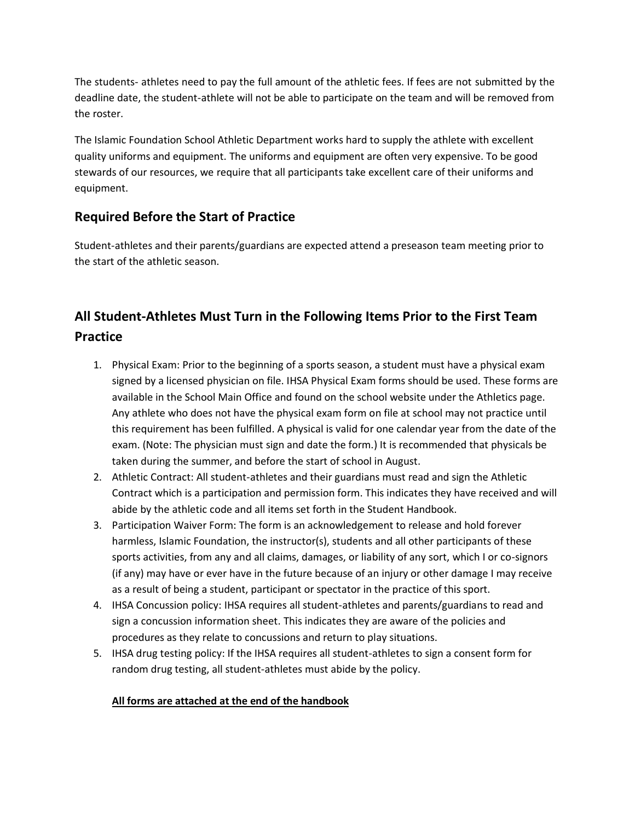The students- athletes need to pay the full amount of the athletic fees. If fees are not submitted by the deadline date, the student-athlete will not be able to participate on the team and will be removed from the roster.

The Islamic Foundation School Athletic Department works hard to supply the athlete with excellent quality uniforms and equipment. The uniforms and equipment are often very expensive. To be good stewards of our resources, we require that all participants take excellent care of their uniforms and equipment.

# **Required Before the Start of Practice**

Student-athletes and their parents/guardians are expected attend a preseason team meeting prior to the start of the athletic season.

# **All Student-Athletes Must Turn in the Following Items Prior to the First Team Practice**

- 1. Physical Exam: Prior to the beginning of a sports season, a student must have a physical exam signed by a licensed physician on file. IHSA Physical Exam forms should be used. These forms are available in the School Main Office and found on the school website under the Athletics page. Any athlete who does not have the physical exam form on file at school may not practice until this requirement has been fulfilled. A physical is valid for one calendar year from the date of the exam. (Note: The physician must sign and date the form.) It is recommended that physicals be taken during the summer, and before the start of school in August.
- 2. Athletic Contract: All student-athletes and their guardians must read and sign the Athletic Contract which is a participation and permission form. This indicates they have received and will abide by the athletic code and all items set forth in the Student Handbook.
- 3. Participation Waiver Form: The form is an acknowledgement to release and hold forever harmless, Islamic Foundation, the instructor(s), students and all other participants of these sports activities, from any and all claims, damages, or liability of any sort, which I or co-signors (if any) may have or ever have in the future because of an injury or other damage I may receive as a result of being a student, participant or spectator in the practice of this sport.
- 4. IHSA Concussion policy: IHSA requires all student-athletes and parents/guardians to read and sign a concussion information sheet. This indicates they are aware of the policies and procedures as they relate to concussions and return to play situations.
- 5. IHSA drug testing policy: If the IHSA requires all student-athletes to sign a consent form for random drug testing, all student-athletes must abide by the policy.

## **All forms are attached at the end of the handbook**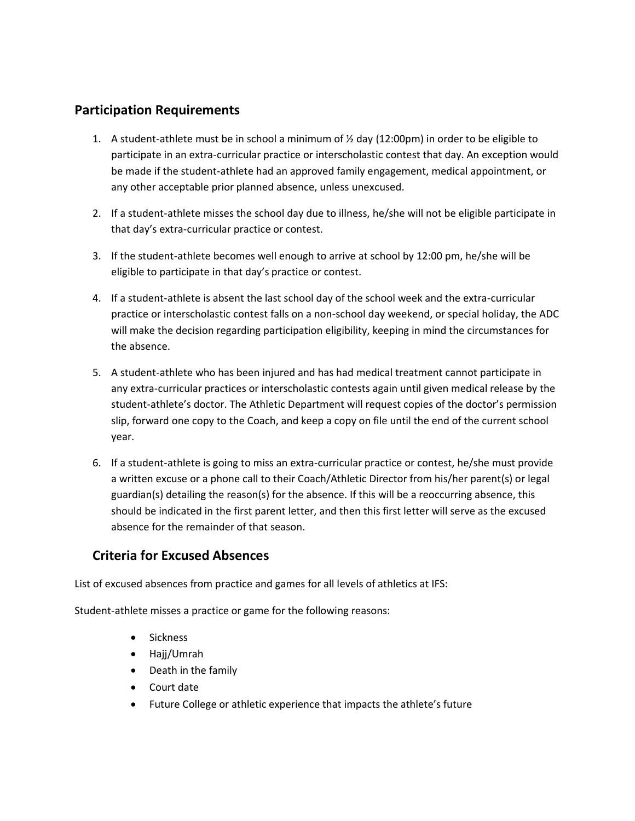# **Participation Requirements**

- 1. A student-athlete must be in school a minimum of  $\frac{1}{2}$  day (12:00pm) in order to be eligible to participate in an extra-curricular practice or interscholastic contest that day. An exception would be made if the student-athlete had an approved family engagement, medical appointment, or any other acceptable prior planned absence, unless unexcused.
- 2. If a student-athlete misses the school day due to illness, he/she will not be eligible participate in that day's extra-curricular practice or contest.
- 3. If the student-athlete becomes well enough to arrive at school by 12:00 pm, he/she will be eligible to participate in that day's practice or contest.
- 4. If a student-athlete is absent the last school day of the school week and the extra-curricular practice or interscholastic contest falls on a non-school day weekend, or special holiday, the ADC will make the decision regarding participation eligibility, keeping in mind the circumstances for the absence.
- 5. A student-athlete who has been injured and has had medical treatment cannot participate in any extra-curricular practices or interscholastic contests again until given medical release by the student-athlete's doctor. The Athletic Department will request copies of the doctor's permission slip, forward one copy to the Coach, and keep a copy on file until the end of the current school year.
- 6. If a student-athlete is going to miss an extra-curricular practice or contest, he/she must provide a written excuse or a phone call to their Coach/Athletic Director from his/her parent(s) or legal guardian(s) detailing the reason(s) for the absence. If this will be a reoccurring absence, this should be indicated in the first parent letter, and then this first letter will serve as the excused absence for the remainder of that season.

# **Criteria for Excused Absences**

List of excused absences from practice and games for all levels of athletics at IFS:

Student-athlete misses a practice or game for the following reasons:

- Sickness
- Hajj/Umrah
- Death in the family
- Court date
- Future College or athletic experience that impacts the athlete's future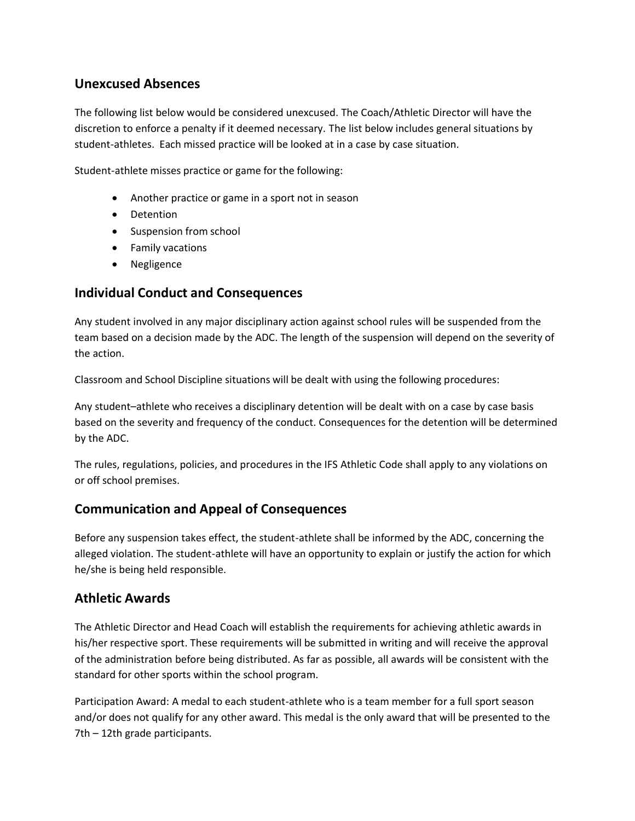# **Unexcused Absences**

The following list below would be considered unexcused. The Coach/Athletic Director will have the discretion to enforce a penalty if it deemed necessary. The list below includes general situations by student-athletes. Each missed practice will be looked at in a case by case situation.

Student-athlete misses practice or game for the following:

- Another practice or game in a sport not in season
- Detention
- Suspension from school
- Family vacations
- Negligence

## **Individual Conduct and Consequences**

Any student involved in any major disciplinary action against school rules will be suspended from the team based on a decision made by the ADC. The length of the suspension will depend on the severity of the action.

Classroom and School Discipline situations will be dealt with using the following procedures:

Any student–athlete who receives a disciplinary detention will be dealt with on a case by case basis based on the severity and frequency of the conduct. Consequences for the detention will be determined by the ADC.

The rules, regulations, policies, and procedures in the IFS Athletic Code shall apply to any violations on or off school premises.

# **Communication and Appeal of Consequences**

Before any suspension takes effect, the student-athlete shall be informed by the ADC, concerning the alleged violation. The student-athlete will have an opportunity to explain or justify the action for which he/she is being held responsible.

# **Athletic Awards**

The Athletic Director and Head Coach will establish the requirements for achieving athletic awards in his/her respective sport. These requirements will be submitted in writing and will receive the approval of the administration before being distributed. As far as possible, all awards will be consistent with the standard for other sports within the school program.

Participation Award: A medal to each student-athlete who is a team member for a full sport season and/or does not qualify for any other award. This medal is the only award that will be presented to the 7th – 12th grade participants.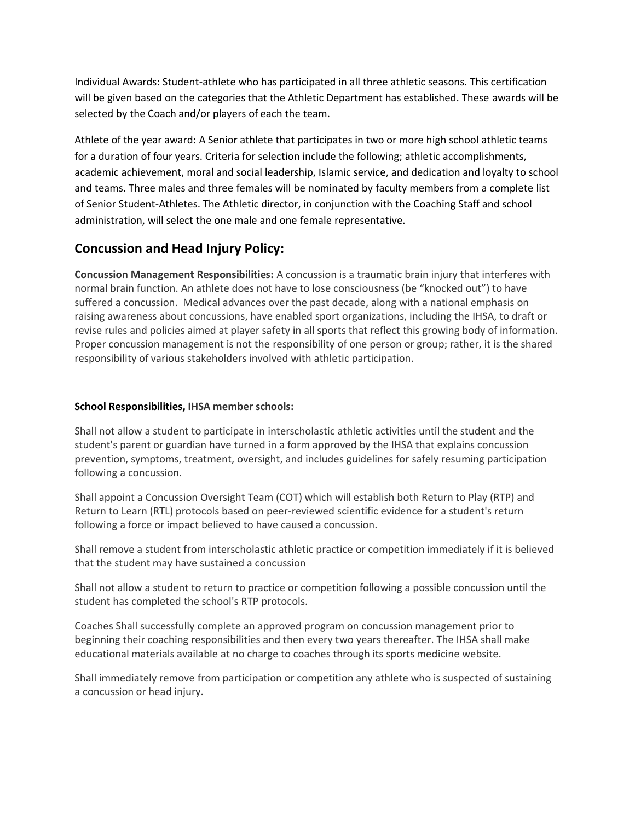Individual Awards: Student-athlete who has participated in all three athletic seasons. This certification will be given based on the categories that the Athletic Department has established. These awards will be selected by the Coach and/or players of each the team.

Athlete of the year award: A Senior athlete that participates in two or more high school athletic teams for a duration of four years. Criteria for selection include the following; athletic accomplishments, academic achievement, moral and social leadership, Islamic service, and dedication and loyalty to school and teams. Three males and three females will be nominated by faculty members from a complete list of Senior Student-Athletes. The Athletic director, in conjunction with the Coaching Staff and school administration, will select the one male and one female representative.

# **Concussion and Head Injury Policy:**

**Concussion Management Responsibilities:** A concussion is a traumatic brain injury that interferes with normal brain function. An athlete does not have to lose consciousness (be "knocked out") to have suffered a concussion. Medical advances over the past decade, along with a national emphasis on raising awareness about concussions, have enabled sport organizations, including the IHSA, to draft or revise rules and policies aimed at player safety in all sports that reflect this growing body of information. Proper concussion management is not the responsibility of one person or group; rather, it is the shared responsibility of various stakeholders involved with athletic participation.

#### **School Responsibilities, IHSA member schools:**

Shall not allow a student to participate in interscholastic athletic activities until the student and the student's parent or guardian have turned in a form approved by the IHSA that explains concussion prevention, symptoms, treatment, oversight, and includes guidelines for safely resuming participation following a concussion.

Shall appoint a Concussion Oversight Team (COT) which will establish both Return to Play (RTP) and Return to Learn (RTL) protocols based on peer-reviewed scientific evidence for a student's return following a force or impact believed to have caused a concussion.

Shall remove a student from interscholastic athletic practice or competition immediately if it is believed that the student may have sustained a concussion

Shall not allow a student to return to practice or competition following a possible concussion until the student has completed the school's RTP protocols.

Coaches Shall successfully complete an approved program on concussion management prior to beginning their coaching responsibilities and then every two years thereafter. The IHSA shall make educational materials available at no charge to coaches through its sports medicine website.

Shall immediately remove from participation or competition any athlete who is suspected of sustaining a concussion or head injury.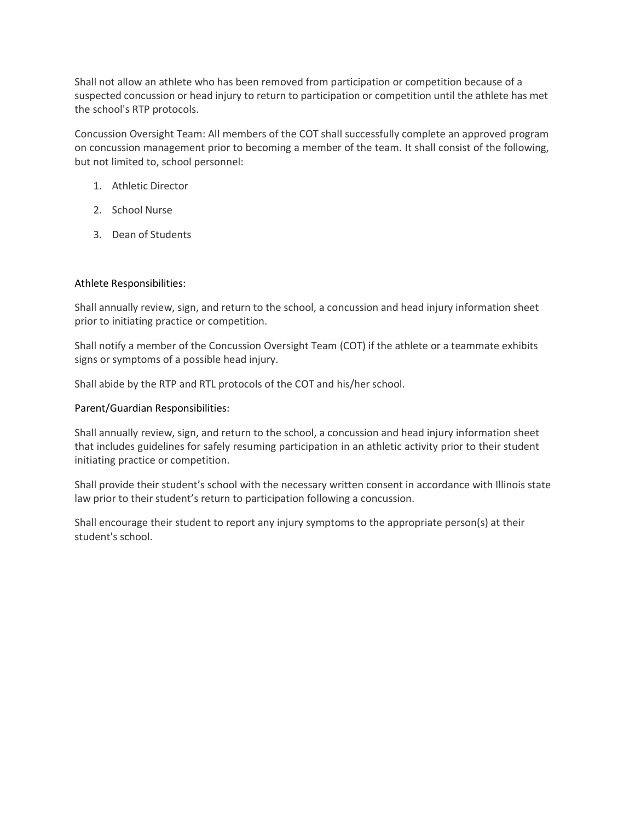Shall not allow an athlete who has been removed from participation or competition because of a suspected concussion or head injury to return to participation or competition until the athlete has met the school's RTP protocols.

Concussion Oversight Team: All members of the COT shall successfully complete an approved program on concussion management prior to becoming a member of the team. It shall consist of the following, but not limited to, school personnel:

- 1. Athletic Director
- 2. School Nurse
- 3. Dean of Students

#### Athlete Responsibilities:

Shall annually review, sign, and return to the school, a concussion and head injury information sheet prior to initiating practice or competition.

Shall notify a member of the Concussion Oversight Team (COT) if the athlete or a teammate exhibits signs or symptoms of a possible head injury.

Shall abide by the RTP and RTL protocols of the COT and his/her school.

Parent/Guardian Responsibilities:

Shall annually review, sign, and return to the school, a concussion and head injury information sheet that includes guidelines for safely resuming participation in an athletic activity prior to their student initiating practice or competition.

Shall provide their student's school with the necessary written consent in accordance with Illinois state law prior to their student's return to participation following a concussion.

Shall encourage their student to report any injury symptoms to the appropriate person(s) at their student's school.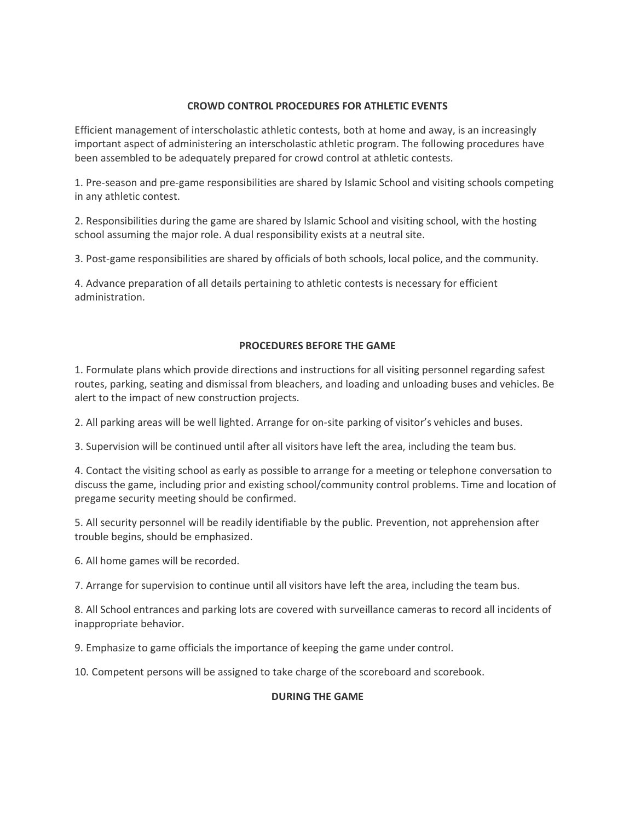#### **CROWD CONTROL PROCEDURES FOR ATHLETIC EVENTS**

Efficient management of interscholastic athletic contests, both at home and away, is an increasingly important aspect of administering an interscholastic athletic program. The following procedures have been assembled to be adequately prepared for crowd control at athletic contests.

1. Pre-season and pre-game responsibilities are shared by Islamic School and visiting schools competing in any athletic contest.

2. Responsibilities during the game are shared by Islamic School and visiting school, with the hosting school assuming the major role. A dual responsibility exists at a neutral site.

3. Post-game responsibilities are shared by officials of both schools, local police, and the community.

4. Advance preparation of all details pertaining to athletic contests is necessary for efficient administration.

#### **PROCEDURES BEFORE THE GAME**

1. Formulate plans which provide directions and instructions for all visiting personnel regarding safest routes, parking, seating and dismissal from bleachers, and loading and unloading buses and vehicles. Be alert to the impact of new construction projects.

2. All parking areas will be well lighted. Arrange for on-site parking of visitor's vehicles and buses.

3. Supervision will be continued until after all visitors have left the area, including the team bus.

4. Contact the visiting school as early as possible to arrange for a meeting or telephone conversation to discuss the game, including prior and existing school/community control problems. Time and location of pregame security meeting should be confirmed.

5. All security personnel will be readily identifiable by the public. Prevention, not apprehension after trouble begins, should be emphasized.

6. All home games will be recorded.

7. Arrange for supervision to continue until all visitors have left the area, including the team bus.

8. All School entrances and parking lots are covered with surveillance cameras to record all incidents of inappropriate behavior.

9. Emphasize to game officials the importance of keeping the game under control.

10. Competent persons will be assigned to take charge of the scoreboard and scorebook.

#### **DURING THE GAME**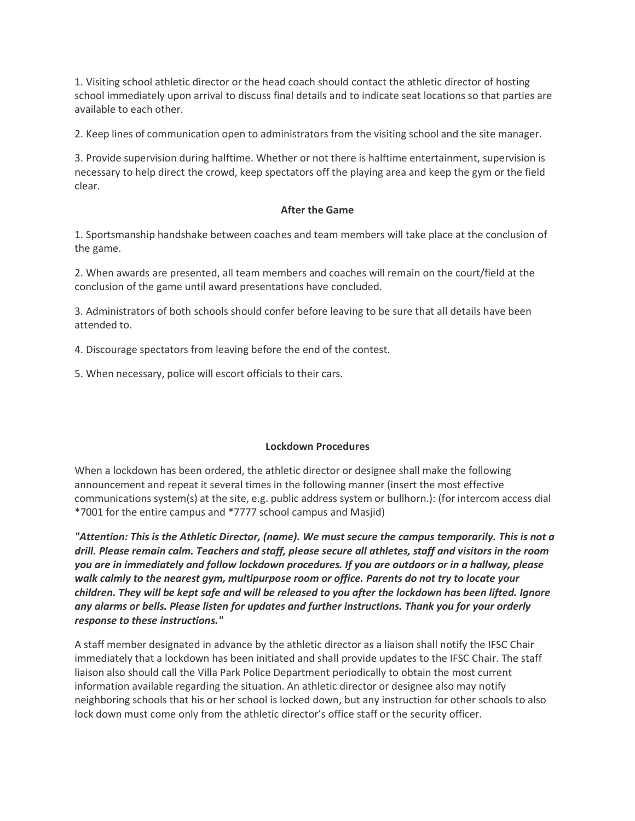1. Visiting school athletic director or the head coach should contact the athletic director of hosting school immediately upon arrival to discuss final details and to indicate seat locations so that parties are available to each other.

2. Keep lines of communication open to administrators from the visiting school and the site manager.

3. Provide supervision during halftime. Whether or not there is halftime entertainment, supervision is necessary to help direct the crowd, keep spectators off the playing area and keep the gym or the field clear.

#### **After the Game**

1. Sportsmanship handshake between coaches and team members will take place at the conclusion of the game.

2. When awards are presented, all team members and coaches will remain on the court/field at the conclusion of the game until award presentations have concluded.

3. Administrators of both schools should confer before leaving to be sure that all details have been attended to.

4. Discourage spectators from leaving before the end of the contest.

5. When necessary, police will escort officials to their cars.

#### **Lockdown Procedures**

When a lockdown has been ordered, the athletic director or designee shall make the following announcement and repeat it several times in the following manner (insert the most effective communications system(s) at the site, e.g. public address system or bullhorn.): (for intercom access dial \*7001 for the entire campus and \*7777 school campus and Masjid)

*"Attention: This is the Athletic Director, (name). We must secure the campus temporarily. This is not a drill. Please remain calm. Teachers and staff, please secure all athletes, staff and visitors in the room you are in immediately and follow lockdown procedures. If you are outdoors or in a hallway, please walk calmly to the nearest gym, multipurpose room or office. Parents do not try to locate your children. They will be kept safe and will be released to you after the lockdown has been lifted. Ignore any alarms or bells. Please listen for updates and further instructions. Thank you for your orderly response to these instructions."*

A staff member designated in advance by the athletic director as a liaison shall notify the IFSC Chair immediately that a lockdown has been initiated and shall provide updates to the IFSC Chair. The staff liaison also should call the Villa Park Police Department periodically to obtain the most current information available regarding the situation. An athletic director or designee also may notify neighboring schools that his or her school is locked down, but any instruction for other schools to also lock down must come only from the athletic director's office staff or the security officer.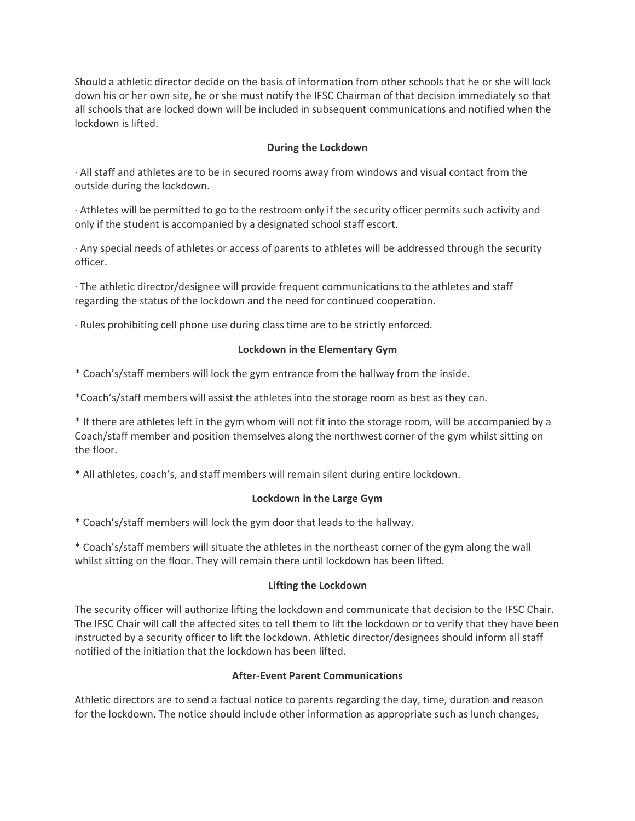Should a athletic director decide on the basis of information from other schools that he or she will lock down his or her own site, he or she must notify the IFSC Chairman of that decision immediately so that all schools that are locked down will be included in subsequent communications and notified when the lockdown is lifted.

#### **During the Lockdown**

· All staff and athletes are to be in secured rooms away from windows and visual contact from the outside during the lockdown.

· Athletes will be permitted to go to the restroom only if the security officer permits such activity and only if the student is accompanied by a designated school staff escort.

· Any special needs of athletes or access of parents to athletes will be addressed through the security officer.

· The athletic director/designee will provide frequent communications to the athletes and staff regarding the status of the lockdown and the need for continued cooperation.

· Rules prohibiting cell phone use during class time are to be strictly enforced.

#### **Lockdown in the Elementary Gym**

\* Coach's/staff members will lock the gym entrance from the hallway from the inside.

\*Coach's/staff members will assist the athletes into the storage room as best as they can.

\* If there are athletes left in the gym whom will not fit into the storage room, will be accompanied by a Coach/staff member and position themselves along the northwest corner of the gym whilst sitting on the floor.

\* All athletes, coach's, and staff members will remain silent during entire lockdown.

#### **Lockdown in the Large Gym**

\* Coach's/staff members will lock the gym door that leads to the hallway.

\* Coach's/staff members will situate the athletes in the northeast corner of the gym along the wall whilst sitting on the floor. They will remain there until lockdown has been lifted.

#### **Lifting the Lockdown**

The security officer will authorize lifting the lockdown and communicate that decision to the IFSC Chair. The IFSC Chair will call the affected sites to tell them to lift the lockdown or to verify that they have been instructed by a security officer to lift the lockdown. Athletic director/designees should inform all staff notified of the initiation that the lockdown has been lifted.

#### **After-Event Parent Communications**

Athletic directors are to send a factual notice to parents regarding the day, time, duration and reason for the lockdown. The notice should include other information as appropriate such as lunch changes,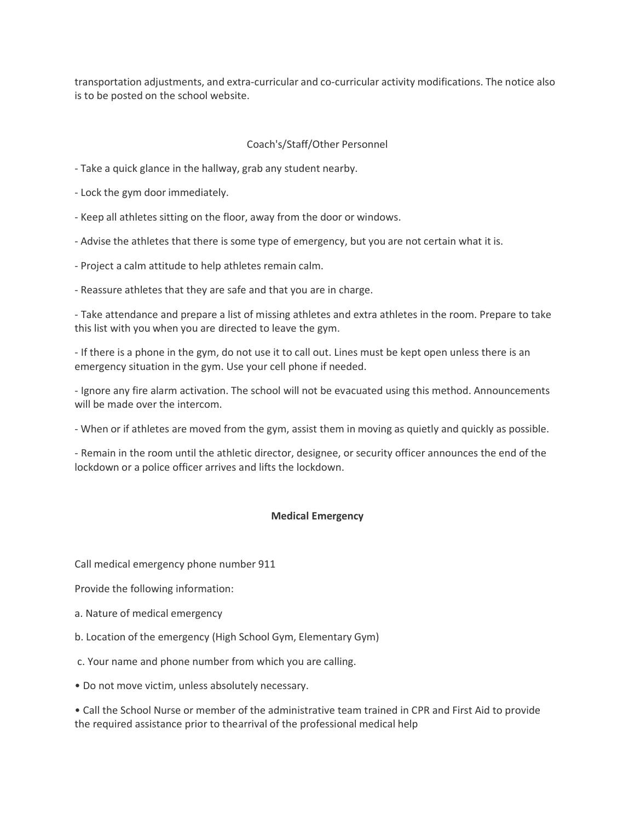transportation adjustments, and extra-curricular and co-curricular activity modifications. The notice also is to be posted on the school website.

#### Coach's/Staff/Other Personnel

- Take a quick glance in the hallway, grab any student nearby.
- Lock the gym door immediately.
- Keep all athletes sitting on the floor, away from the door or windows.
- Advise the athletes that there is some type of emergency, but you are not certain what it is.
- Project a calm attitude to help athletes remain calm.
- Reassure athletes that they are safe and that you are in charge.

- Take attendance and prepare a list of missing athletes and extra athletes in the room. Prepare to take this list with you when you are directed to leave the gym.

- If there is a phone in the gym, do not use it to call out. Lines must be kept open unless there is an emergency situation in the gym. Use your cell phone if needed.

- Ignore any fire alarm activation. The school will not be evacuated using this method. Announcements will be made over the intercom.

- When or if athletes are moved from the gym, assist them in moving as quietly and quickly as possible.

- Remain in the room until the athletic director, designee, or security officer announces the end of the lockdown or a police officer arrives and lifts the lockdown.

#### **Medical Emergency**

Call medical emergency phone number 911

Provide the following information:

- a. Nature of medical emergency
- b. Location of the emergency (High School Gym, Elementary Gym)
- c. Your name and phone number from which you are calling.
- Do not move victim, unless absolutely necessary.

• Call the School Nurse or member of the administrative team trained in CPR and First Aid to provide the required assistance prior to thearrival of the professional medical help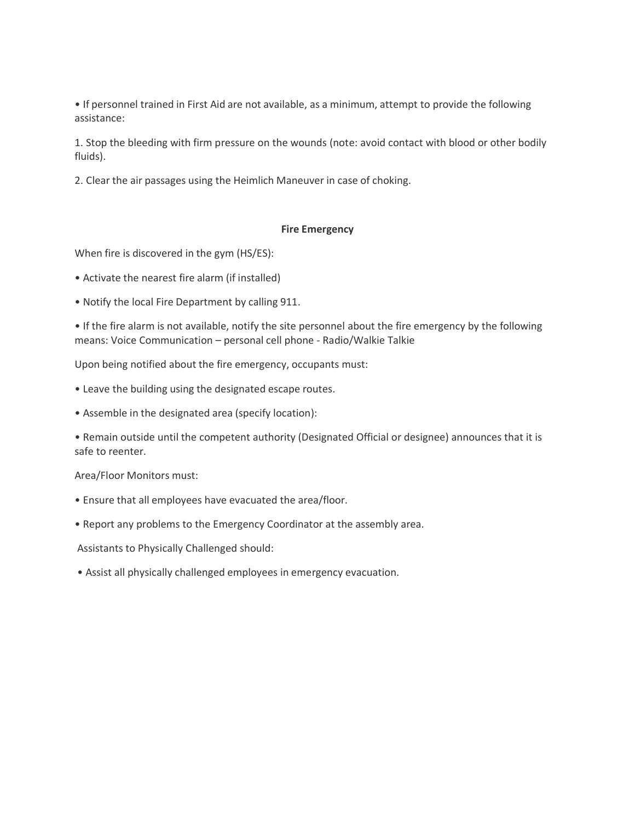• If personnel trained in First Aid are not available, as a minimum, attempt to provide the following assistance:

1. Stop the bleeding with firm pressure on the wounds (note: avoid contact with blood or other bodily fluids).

2. Clear the air passages using the Heimlich Maneuver in case of choking.

#### **Fire Emergency**

When fire is discovered in the gym (HS/ES):

- Activate the nearest fire alarm (if installed)
- Notify the local Fire Department by calling 911.

• If the fire alarm is not available, notify the site personnel about the fire emergency by the following means: Voice Communication – personal cell phone - Radio/Walkie Talkie

Upon being notified about the fire emergency, occupants must:

- Leave the building using the designated escape routes.
- Assemble in the designated area (specify location):

• Remain outside until the competent authority (Designated Official or designee) announces that it is safe to reenter.

Area/Floor Monitors must:

- Ensure that all employees have evacuated the area/floor.
- Report any problems to the Emergency Coordinator at the assembly area.

Assistants to Physically Challenged should:

• Assist all physically challenged employees in emergency evacuation.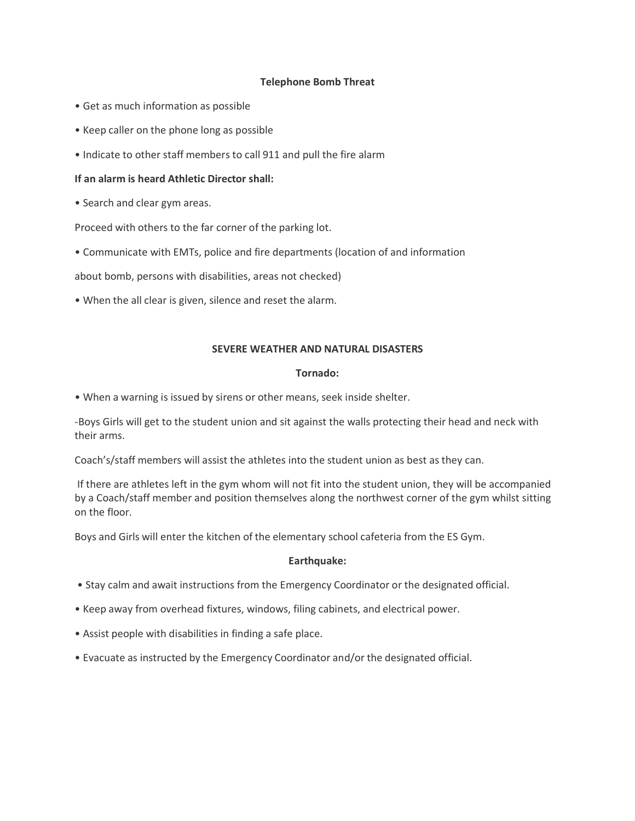#### **Telephone Bomb Threat**

- Get as much information as possible
- Keep caller on the phone long as possible
- Indicate to other staff members to call 911 and pull the fire alarm

#### **If an alarm is heard Athletic Director shall:**

• Search and clear gym areas.

Proceed with others to the far corner of the parking lot.

• Communicate with EMTs, police and fire departments (location of and information

about bomb, persons with disabilities, areas not checked)

• When the all clear is given, silence and reset the alarm.

#### **SEVERE WEATHER AND NATURAL DISASTERS**

#### **Tornado:**

• When a warning is issued by sirens or other means, seek inside shelter.

-Boys Girls will get to the student union and sit against the walls protecting their head and neck with their arms.

Coach's/staff members will assist the athletes into the student union as best as they can.

If there are athletes left in the gym whom will not fit into the student union, they will be accompanied by a Coach/staff member and position themselves along the northwest corner of the gym whilst sitting on the floor.

Boys and Girls will enter the kitchen of the elementary school cafeteria from the ES Gym.

#### **Earthquake:**

- Stay calm and await instructions from the Emergency Coordinator or the designated official.
- Keep away from overhead fixtures, windows, filing cabinets, and electrical power.
- Assist people with disabilities in finding a safe place.
- Evacuate as instructed by the Emergency Coordinator and/or the designated official.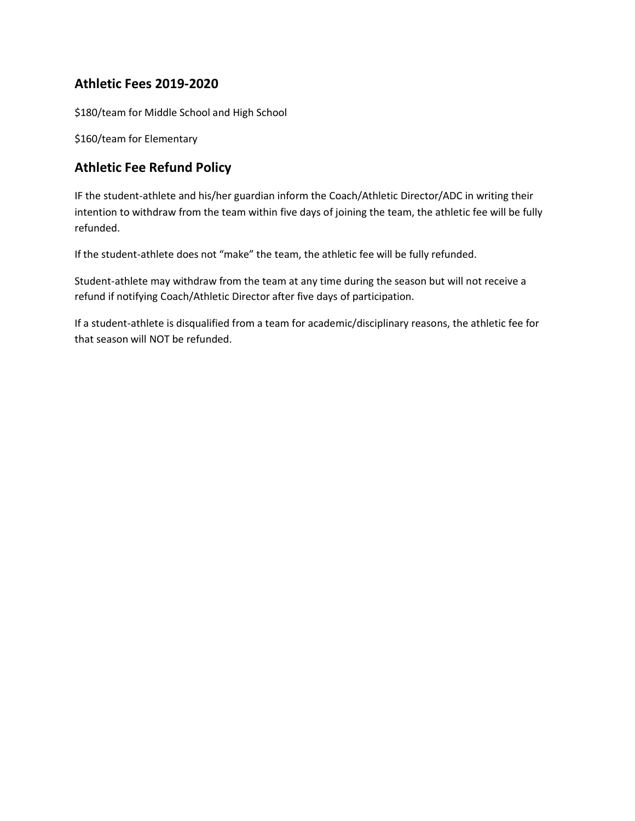# **Athletic Fees 2019-2020**

\$180/team for Middle School and High School

\$160/team for Elementary

# **Athletic Fee Refund Policy**

IF the student-athlete and his/her guardian inform the Coach/Athletic Director/ADC in writing their intention to withdraw from the team within five days of joining the team, the athletic fee will be fully refunded.

If the student-athlete does not "make" the team, the athletic fee will be fully refunded.

Student-athlete may withdraw from the team at any time during the season but will not receive a refund if notifying Coach/Athletic Director after five days of participation.

If a student-athlete is disqualified from a team for academic/disciplinary reasons, the athletic fee for that season will NOT be refunded.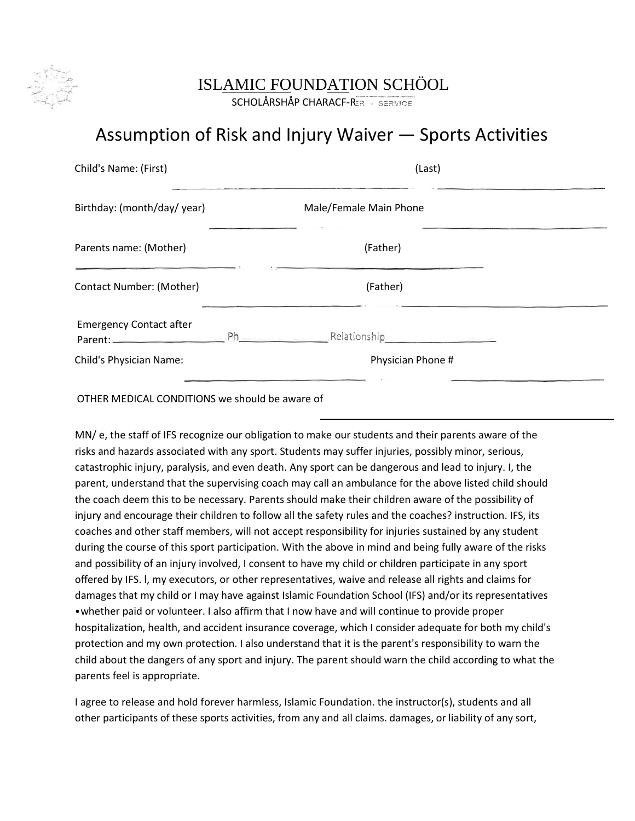

# ISLAMIC FOUNDATION SCHÖOL

SCHOLÅRSHÅP CHARACF-RER BERVICE

# Assumption of Risk and Injury Waiver — Sports Activities

| Child's Name: (First)          | (Last)                 |  |
|--------------------------------|------------------------|--|
| Birthday: (month/day/year)     | Male/Female Main Phone |  |
| Parents name: (Mother)         | (Father)               |  |
| Contact Number: (Mother)       | (Father)               |  |
| <b>Emergency Contact after</b> |                        |  |
| Child's Physician Name:        | Physician Phone #      |  |
|                                |                        |  |

OTHER MEDICAL CONDITIONS we should be aware of

MN/ e, the staff of IFS recognize our obligation to make our students and their parents aware of the risks and hazards associated with any sport. Students may suffer injuries, possibly minor, serious, catastrophic injury, paralysis, and even death. Any sport can be dangerous and lead to injury. I, the parent, understand that the supervising coach may call an ambulance for the above listed child should the coach deem this to be necessary. Parents should make their children aware of the possibility of injury and encourage their children to follow all the safety rules and the coaches? instruction. IFS, its coaches and other staff members, will not accept responsibility for injuries sustained by any student during the course of this sport participation. With the above in mind and being fully aware of the risks and possibility of an injury involved, I consent to have my child or children participate in any sport offered by IFS. l, my executors, or other representatives, waive and release all rights and claims for damages that my child or I may have against Islamic Foundation School (IFS) and/or its representatives •whether paid or volunteer. I also affirm that I now have and will continue to provide proper hospitalization, health, and accident insurance coverage, which I consider adequate for both my child's protection and my own protection. I also understand that it is the parent's responsibility to warn the child about the dangers of any sport and injury. The parent should warn the child according to what the parents feel is appropriate.

I agree to release and hold forever harmless, Islamic Foundation. the instructor(s), students and all other participants of these sports activities, from any and all claims. damages, or liability of any sort,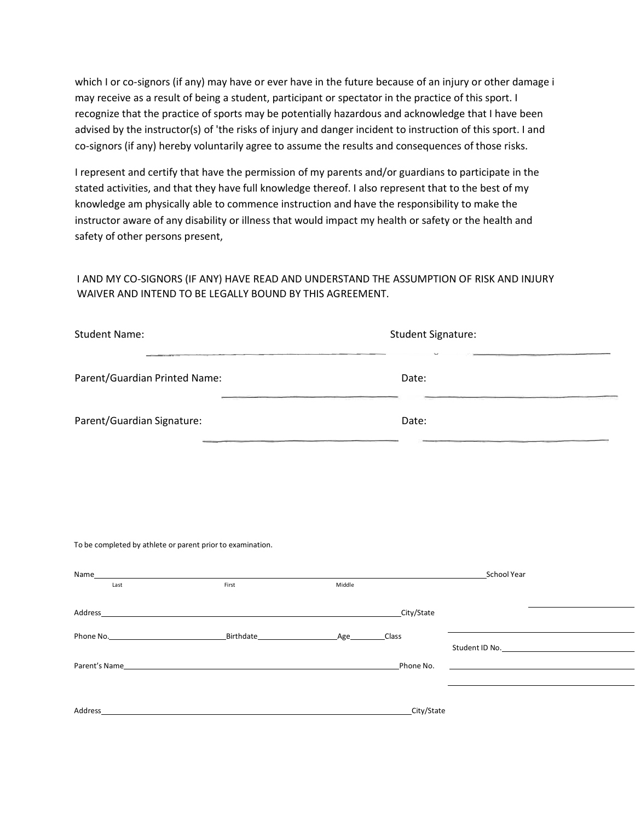which I or co-signors (if any) may have or ever have in the future because of an injury or other damage i may receive as a result of being a student, participant or spectator in the practice of this sport. I recognize that the practice of sports may be potentially hazardous and acknowledge that I have been advised by the instructor(s) of 'the risks of injury and danger incident to instruction of this sport. I and co-signors (if any) hereby voluntarily agree to assume the results and consequences of those risks.

I represent and certify that have the permission of my parents and/or guardians to participate in the stated activities, and that they have full knowledge thereof. I also represent that to the best of my knowledge am physically able to commence instruction and have the responsibility to make the instructor aware of any disability or illness that would impact my health or safety or the health and safety of other persons present,

#### I AND MY CO-SIGNORS (IF ANY) HAVE READ AND UNDERSTAND THE ASSUMPTION OF RISK AND INJURY WAIVER AND INTEND TO BE LEGALLY BOUND BY THIS AGREEMENT.

| <b>Student Name:</b>          | <b>Student Signature:</b> |
|-------------------------------|---------------------------|
| Parent/Guardian Printed Name: | Date:                     |
| Parent/Guardian Signature:    | Date:                     |

#### To be completed by athlete or parent prior to examination.

| Name          |                                                                                                                        |        |            | School Year                                                                                                          |
|---------------|------------------------------------------------------------------------------------------------------------------------|--------|------------|----------------------------------------------------------------------------------------------------------------------|
| Last          | First                                                                                                                  | Middle |            |                                                                                                                      |
|               |                                                                                                                        |        |            |                                                                                                                      |
| Address       | <u> 1989 - Johann Stoff, deutscher Stoffen und der Stoffen und der Stoffen und der Stoffen und der Stoffen und der</u> |        | City/State |                                                                                                                      |
|               |                                                                                                                        |        | Class      |                                                                                                                      |
|               |                                                                                                                        |        |            | Student ID No. <b>Example 20</b> Student ID No.                                                                      |
| Parent's Name | <u> 1989 - John Stein, mars and de Britain and de Britain and de Britain and de Britain and de Britain and de Br</u>   |        | Phone No.  | <u> 1980 - Jan Samuel Barbara, politik eta politik eta politik eta politik eta politik eta politik eta politik e</u> |
|               |                                                                                                                        |        |            |                                                                                                                      |
|               |                                                                                                                        |        |            |                                                                                                                      |
| Address       |                                                                                                                        |        | City/State |                                                                                                                      |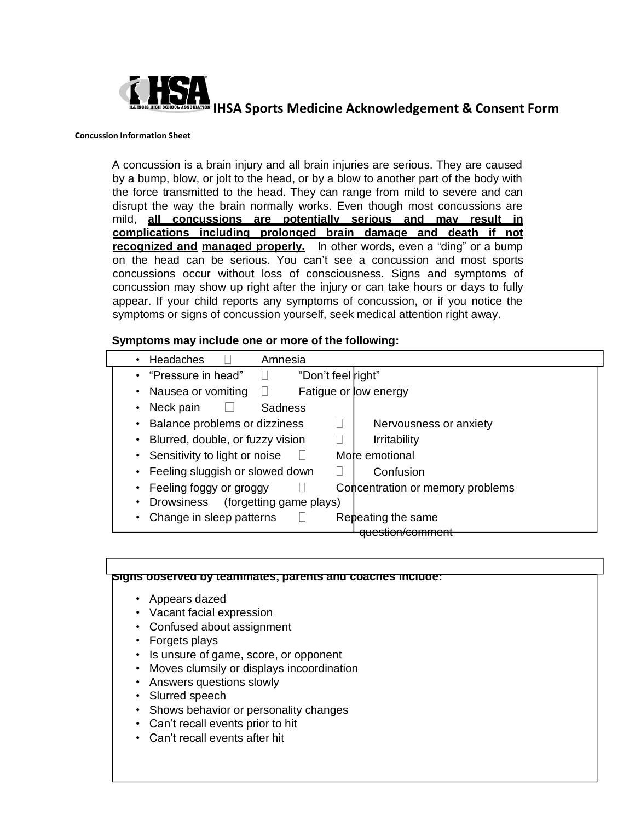

#### **Concussion Information Sheet**

A concussion is a brain injury and all brain injuries are serious. They are caused by a bump, blow, or jolt to the head, or by a blow to another part of the body with the force transmitted to the head. They can range from mild to severe and can disrupt the way the brain normally works. Even though most concussions are mild, **all concussions are potentially serious and may result in complications including prolonged brain damage and death if not recognized and managed properly.** In other words, even a "ding" or a bump on the head can be serious. You can't see a concussion and most sports concussions occur without loss of consciousness. Signs and symptoms of concussion may show up right after the injury or can take hours or days to fully appear. If your child reports any symptoms of concussion, or if you notice the symptoms or signs of concussion yourself, seek medical attention right away.

#### **Symptoms may include one or more of the following:**

| Headaches<br>Amnesia<br>$\bullet$                                    |                        |
|----------------------------------------------------------------------|------------------------|
| • "Pressure in head"<br>"Don't feel right"                           |                        |
| • Nausea or vomiting<br>Fatigue or low energy                        |                        |
| Neck pain<br>Sadness<br>$\vert \ \ \vert$<br>$\bullet$               |                        |
| Balance problems or dizziness<br>$\bullet$                           | Nervousness or anxiety |
| Blurred, double, or fuzzy vision<br><b>Irritability</b><br>$\bullet$ |                        |
| Sensitivity to light or noise<br>More emotional<br>$\bullet$         |                        |
| Feeling sluggish or slowed down<br>Confusion<br>$\bullet$            |                        |
| Concentration or memory problems<br>Feeling foggy or groggy          |                        |
| Drowsiness<br>(forgetting game plays)<br>$\bullet$                   |                        |
| Change in sleep patterns<br>Repeating the same                       |                        |
| <u>au cetion/commen</u>                                              |                        |

|                 | • Appears dazed                             |  |  |
|-----------------|---------------------------------------------|--|--|
|                 | • Vacant facial expression                  |  |  |
|                 | • Confused about assignment                 |  |  |
| • Forgets plays |                                             |  |  |
|                 | • Is unsure of game, score, or opponent     |  |  |
|                 | • Moves clumsily or displays incoordination |  |  |
|                 | • Answers questions slowly                  |  |  |
|                 | • Slurred speech                            |  |  |
|                 | • Shows behavior or personality changes     |  |  |
|                 | • Can't recall events prior to hit          |  |  |
|                 | • Can't recall events after hit             |  |  |